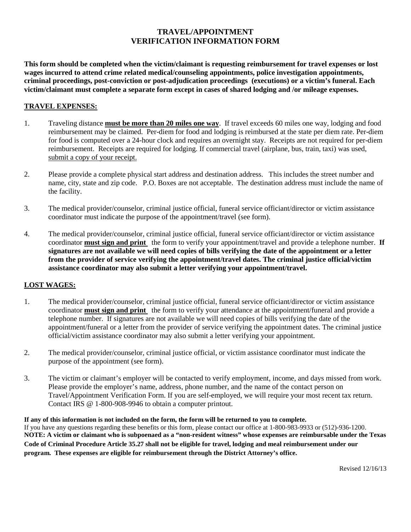## **TRAVEL/APPOINTMENT VERIFICATION INFORMATION FORM**

**This form should be completed when the victim/claimant is requesting reimbursement for travel expenses or lost wages incurred to attend crime related medical/counseling appointments, police investigation appointments, criminal proceedings, post-conviction or post-adjudication proceedings (executions) or a victim's funeral. Each victim/claimant must complete a separate form except in cases of shared lodging and /or mileage expenses.**

## **TRAVEL EXPENSES:**

- 1. Traveling distance **must be more than 20 miles one way**. If travel exceeds 60 miles one way, lodging and food reimbursement may be claimed. Per-diem for food and lodging is reimbursed at the state per diem rate. Per-diem for food is computed over a 24-hour clock and requires an overnight stay. Receipts are not required for per-diem reimbursement. Receipts are required for lodging. If commercial travel (airplane, bus, train, taxi) was used, submit a copy of your receipt.
- 2. Please provide a complete physical start address and destination address. This includes the street number and name, city, state and zip code. P.O. Boxes are not acceptable. The destination address must include the name of the facility.
- 3. The medical provider/counselor, criminal justice official, funeral service officiant/director or victim assistance coordinator must indicate the purpose of the appointment/travel (see form).
- 4. The medical provider/counselor, criminal justice official, funeral service officiant/director or victim assistance coordinator **must sign and print** the form to verify your appointment/travel and provide a telephone number. **If signatures are not available we will need copies of bills verifying the date of the appointment or a letter from the provider of service verifying the appointment/travel dates. The criminal justice official/victim assistance coordinator may also submit a letter verifying your appointment/travel.**

## **LOST WAGES:**

- 1. The medical provider/counselor, criminal justice official, funeral service officiant/director or victim assistance coordinator **must sign and print** the form to verify your attendance at the appointment/funeral and provide a telephone number. If signatures are not available we will need copies of bills verifying the date of the appointment/funeral or a letter from the provider of service verifying the appointment dates. The criminal justice official/victim assistance coordinator may also submit a letter verifying your appointment.
- 2. The medical provider/counselor, criminal justice official, or victim assistance coordinator must indicate the purpose of the appointment (see form).
- 3. The victim or claimant's employer will be contacted to verify employment, income, and days missed from work. Please provide the employer's name, address, phone number, and the name of the contact person on Travel/Appointment Verification Form. If you are self-employed, we will require your most recent tax return. Contact IRS @ 1-800-908-9946 to obtain a computer printout.

**If any of this information is not included on the form, the form will be returned to you to complete.**  If you have any questions regarding these benefits or this form, please contact our office at 1-800-983-9933 or (512)-936-1200. **NOTE: A victim or claimant who is subpoenaed as a "non-resident witness" whose expenses are reimbursable under the Texas Code of Criminal Procedure Article 35.27 shall not be eligible for travel, lodging and meal reimbursement under our program. These expenses are eligible for reimbursement through the District Attorney's office.**